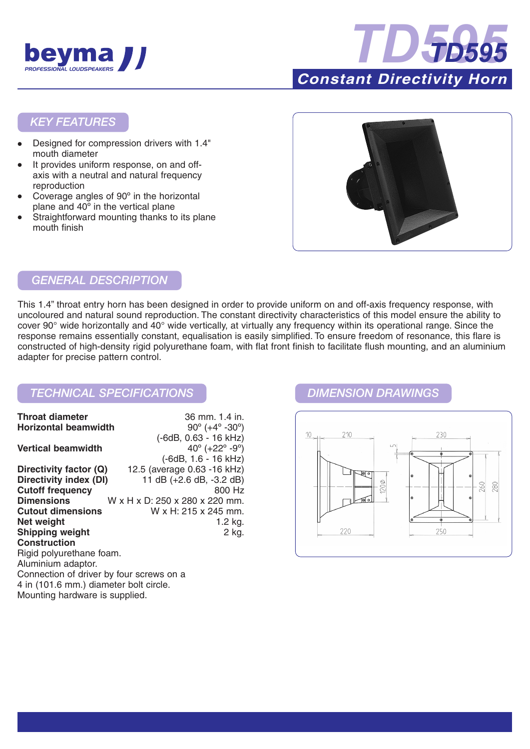



### *KEY FEATURES*

- Designed for compression drivers with 1.4" mouth diameter
- It provides uniform response, on and offaxis with a neutral and natural frequency reproduction
- Coverage angles of 90° in the horizontal plane and 40º in the vertical plane
- Straightforward mounting thanks to its plane mouth finish



# *GENERAL DESCRIPTION*

This 1.4" throat entry horn has been designed in order to provide uniform on and off-axis frequency response, with uncoloured and natural sound reproduction. The constant directivity characteristics of this model ensure the ability to cover 90° wide horizontally and 40° wide vertically, at virtually any frequency within its operational range. Since the response remains essentially constant, equalisation is easily simplified. To ensure freedom of resonance, this flare is constructed of high-density rigid polyurethane foam, with flat front finish to facilitate flush mounting, and an aluminium adapter for precise pattern control.

## *TECHNICAL SPECIFICATIONS DIMENSION DRAWINGS*

| <b>Throat diameter</b>                   | 36 mm 1.4 in.                                 |
|------------------------------------------|-----------------------------------------------|
| <b>Horizontal beamwidth</b>              | $90^{\circ}$ (+4 $^{\circ}$ -30 $^{\circ}$ )  |
|                                          | (-6dB, 0.63 - 16 kHz)                         |
| <b>Vertical beamwidth</b>                | 40 $^{\circ}$ (+22 $^{\circ}$ -9 $^{\circ}$ ) |
|                                          | $(-6dB, 1.6 - 16 kHz)$                        |
| Directivity factor (Q)                   | 12.5 (average 0.63 -16 kHz)                   |
| Directivity index (DI)                   | 11 dB (+2.6 dB, -3.2 dB)                      |
| <b>Cutoff frequency</b>                  | 800 Hz                                        |
| <b>Dimensions</b>                        | W x H x D: 250 x 280 x 220 mm.                |
| <b>Cutout dimensions</b>                 | W x H: 215 x 245 mm.                          |
| Net weight                               | 1.2 kg.                                       |
| <b>Shipping weight</b>                   | 2 kg.                                         |
| <b>Construction</b>                      |                                               |
| Rigid polyurethane foam.                 |                                               |
| Aluminium adaptor.                       |                                               |
| Connection of driver by four screws on a |                                               |
| 4 in (101.6 mm.) diameter bolt circle.   |                                               |
| Mounting hardware is supplied.           |                                               |